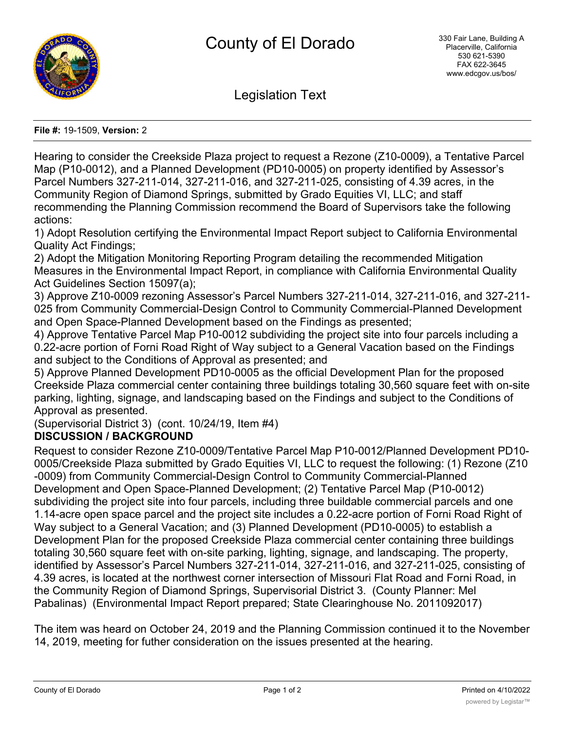

Legislation Text

## **File #:** 19-1509, **Version:** 2

Hearing to consider the Creekside Plaza project to request a Rezone (Z10-0009), a Tentative Parcel Map (P10-0012), and a Planned Development (PD10-0005) on property identified by Assessor's Parcel Numbers 327-211-014, 327-211-016, and 327-211-025, consisting of 4.39 acres, in the Community Region of Diamond Springs, submitted by Grado Equities VI, LLC; and staff recommending the Planning Commission recommend the Board of Supervisors take the following actions:

1) Adopt Resolution certifying the Environmental Impact Report subject to California Environmental Quality Act Findings;

2) Adopt the Mitigation Monitoring Reporting Program detailing the recommended Mitigation Measures in the Environmental Impact Report, in compliance with California Environmental Quality Act Guidelines Section 15097(a);

3) Approve Z10-0009 rezoning Assessor's Parcel Numbers 327-211-014, 327-211-016, and 327-211- 025 from Community Commercial-Design Control to Community Commercial-Planned Development and Open Space-Planned Development based on the Findings as presented;

4) Approve Tentative Parcel Map P10-0012 subdividing the project site into four parcels including a 0.22-acre portion of Forni Road Right of Way subject to a General Vacation based on the Findings and subject to the Conditions of Approval as presented; and

5) Approve Planned Development PD10-0005 as the official Development Plan for the proposed Creekside Plaza commercial center containing three buildings totaling 30,560 square feet with on-site parking, lighting, signage, and landscaping based on the Findings and subject to the Conditions of Approval as presented.

(Supervisorial District 3) (cont. 10/24/19, Item #4)

## **DISCUSSION / BACKGROUND**

Request to consider Rezone Z10-0009/Tentative Parcel Map P10-0012/Planned Development PD10- 0005/Creekside Plaza submitted by Grado Equities VI, LLC to request the following: (1) Rezone (Z10 -0009) from Community Commercial-Design Control to Community Commercial-Planned Development and Open Space-Planned Development; (2) Tentative Parcel Map (P10-0012) subdividing the project site into four parcels, including three buildable commercial parcels and one 1.14-acre open space parcel and the project site includes a 0.22-acre portion of Forni Road Right of Way subject to a General Vacation; and (3) Planned Development (PD10-0005) to establish a Development Plan for the proposed Creekside Plaza commercial center containing three buildings totaling 30,560 square feet with on-site parking, lighting, signage, and landscaping. The property, identified by Assessor's Parcel Numbers 327-211-014, 327-211-016, and 327-211-025, consisting of 4.39 acres, is located at the northwest corner intersection of Missouri Flat Road and Forni Road, in the Community Region of Diamond Springs, Supervisorial District 3. (County Planner: Mel Pabalinas) (Environmental Impact Report prepared; State Clearinghouse No. 2011092017)

The item was heard on October 24, 2019 and the Planning Commission continued it to the November 14, 2019, meeting for futher consideration on the issues presented at the hearing.